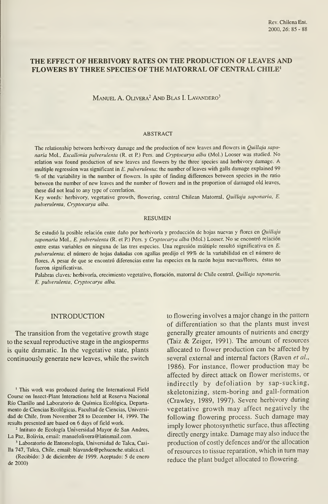# THE EFFECT OF HERBIVORY RATES ON THE PRODUCTION OF LEAVES AND FLOWERS BY THREE SPECIES OF THE MATORRAL OF CENTRAL CHILE'

### MANUEL A. OLIVERA<sup>2</sup> AND BLAS I. LAVANDERO<sup>3</sup>

#### ABSTRACT

The relationship between herbivory damage and the production of new leaves and flowers in *Quillaja sapo*naria Mol, Escallonia pulverulenta (R. et P.) Pers. and Cryptocarya alba (Mol.) Looser was studied. No relation was found production of new leaves and flowers by the three species and herbivory damage. A multiple regression was significant in E. pulverulenta: the number of leaves with galls damage explained 99 % of the variability in the number of flowers. In spite of finding differences between species in the ratio between the number of new leaves and the number of flowers and in the proportion of damaged old leaves, these did not lead to any type of correlation.

Key words. herbivory, vegetative growth, flowering, central Chilean Matorral, Quillaja saponaria, E. pulverulenta, Cryptocarya alba.

#### RESUMEN

Se estudió la posible relación entre daño por herbivoría y producción de hojas nuevas y flores en Quillaja saponaria Mol., E. pulverulenta (R. et P.) Pers. y Cryptocarya alba (Mol.) Looser. No se encontró relación entre estas variables en ninguna de las tres especies. Una regresión múltiple resultó significativa en E. pulverulenta: el número de hojas dañadas con agallas predijo el 99% de la variabilidad en el número de flores. A pesar de que se encontró diferencias entre las especies en la razón hojas nuevas/flores, éstas no fueron significativas.

Palabras claves. herbivoría, crecimiento vegetativo, floración, matorral de Chile central, Quillaja saponaria, E. pulverulenta, Cryptocarya alba.

# INTRODUCTION

The transition from the vegetative growth stage to the sexual reproductive stage in the angiosperms is quite dramatic. In the vegetative state, plants continuously generate new leaves, while the switch

' This work was produced during the International Field Course on Insect-Plant Interactions held at Reserva Nacional Río Clarillo and Laboratorio de Química Ecológica, Departa mento de Ciencias Ecológicas, Facultad de Ciencias, Universi dad de Chile, from November 28 to December 14, 1999. The results presented are based on 6 days of field work.

<sup>2</sup> Intituto de Ecología Universidad Mayor de San Andres, La Paz, Bolivia, email: manuelolivera@latinmail.com.

' Laboratorio de Entomología, Universidad de Talca, Casilla 747, Talca, Chile, email: blavande@pehuenche.utalca.cl.

(Recibido: 3 de diciembre de 1999. Aceptado: 5 de enero de 2000)

to flowering involves a major change in the pattem of differentiation so that the plants must invest generally greater amounts of nutrients and energy (Taiz & Zeiger, 1991). The amount of resources allocated to flower production can be affected by several external and internal factors (Raven et al., 1986). For instance, flower production may be affected by direct attack on flower meristems, or indirectly by defoliation by sap-sucking, skeletonizing, stem-boring and gall-formation (Crawley, 1989, 1997). Severe herbivory during vegetative growth may affect negatively the following flowering process. Such damage may imply lower photosynthetic surface, thus affecting directly energy intake. Damage may also induce the production of costly defences and/or the allocation of resources to tissue reparation, which in turn may reduce the plant budget allocated to flowering.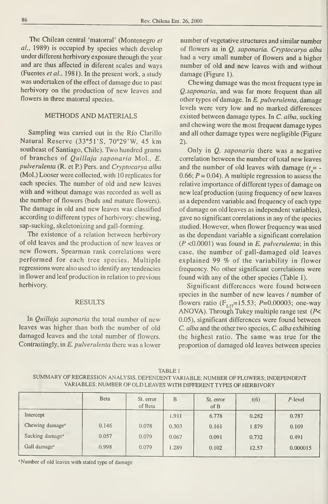The Chilean central 'matorral' (Montenegro et al., 1989) is occupied by species which develop under different herbivory exposure through the year and are thus affected in diferent scales and ways (Fuentes et al., 1981). In the present work, a study was undertaken of the effect of damage due to past herbivory on the production of new leaves and flowers in three matorral species.

# METHODS AND MATERIALS

Sampling was carried out in the Río Clarillo Natural Reserve (33°51'S, 70°29'W, 45 km southeast of Santiago, Chile). Two hundred grams of branches of Quillaja saponaria Mol., E. pulverulenta (R. et R) Pers. and Cryptocarya alba (Mol.) Looser were collected, with 10 replicates for each species. The number of old and new leaves with and without damage was recorded as well as the number of flowers (buds and mature flowers). The damage in old and new leaves was classified according to different types of herbivory: chewing, sap-sucking, skeletonizing and gall-forming.

The existence of a relation between herbivory of oíd leaves and the production of new leaves or new flowers, Spearman rank correlations were performed for each tree species. Múltiple regressions were also used to identify any tendencies in flower and leaf production in relation to previous herbivory.

#### RESULTS

In *Quillaja saponaria* the total number of new leaves was higher than both the number of old damaged leaves and the total number of flowers. Contrastingly, in E. pulverulenta there was a lower

number of vegetative structures and similar number of flowers as in Q. saponaria. Cryptocarya alba had a very small number of flowers and a higher number of old and new leaves with and without damage (Figure 1).

Chewing damage was the most frequent type in Q.saponaria, and was far more frequent than all other types of damage. In E. pulverulenta, damage levels were very low and no marked differences existed between damage types. In C. alba, sucking and chewing were the most frequent damage types and all other damage types were negligible (Figure 2).

Only in *Q. saponaria* there was a negative correlation between the number of total new leaves and the number of old leaves with damage  $(r = -1)$ 0.66;  $P = 0.04$ ). A multiple regression to assess the relative importance of different types of damage on new leaf production (using frequency of new leaves as a dependent variable and frequency of each type of damage on old leaves as independent variables), gave no signifícant correlations in any of the species studied. However, when flower frequency was used as the dependant variable a signifícant correlation  $(P \le 0.0001)$  was found in E. pulverulenta; in this case, the number of gall-damaged old leaves explained <sup>99</sup> % of the variability in flower frequency. No other signifícant correlations were found with any of the other species (Table 1).

Signifícant differences were found between species in the number of new leaves / number of flowers ratio  $(F_{2,2}=15.53; P=0.00003;$  one-way ANOVA). Through Tukey multiple range test ( $P$ < 0.05), signifícant differences were found between C. alba and the other two species, C. alba exhibiting the highest ratio. The same was true for the proportion of damaged oíd leaves between species

TABLE SUMMARY OF REGRESSION ANALYSIS. DEPENDENT VARIABLE: NUMBER OF FLOWERS; INDEPENDENT VARIABLES: NUMBER OF OLD LEAVES WITH DIFFERENT TYPES OF HERBIVORY

|                             | <b>B</b> eta | St. error<br>of Beta | B     | St. error<br>of B | t(6)  | P-level  |
|-----------------------------|--------------|----------------------|-------|-------------------|-------|----------|
| Intercept                   |              |                      | 1.911 | 6.778             | 0.282 | 0.787    |
| Chewing damage <sup>a</sup> | 0.146        | 0.078                | 0.303 | 0.161             | 1.879 | 0.109    |
| Sucking damage <sup>a</sup> | 0.057        | 0.079                | 0.067 | 0.091             | 0.732 | 0.491    |
| Gall damage <sup>a</sup>    | 0.998        | 0.079                | 1.289 | 0.102             | 12.57 | 0.000015 |

' Number of oíd leaves with stated type of damage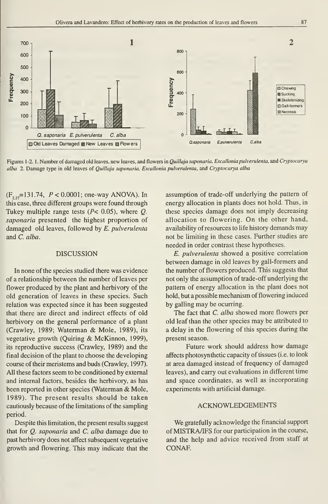

Figures 1-2.1. Number of damaged old leaves, new leaves, and flowers in Quillaja saponaria, Escallonia pulverulenta, and Cryptocarya alba 2. Damage type in old leaves of Quillaja saponaria, Escallonia pulverulenta, and Cryptocarya alba

 $(F_{2,2}=131.74, P < 0.0001$ ; one-way ANOVA). In this case, three different groups were found through Tukey multiple range tests ( $P < 0.05$ ), where Q. saponaria presented the highest proportion of damaged old leaves, followed by E. pulverulenta and C. alba.

# DISCUSSION

In none of the species studied there was evidence of a relationship between the number of leaves per flower produced by the plant and herbivory of the old generation of leaves in these species. Such relation was expected since it has been suggested that there are direct and indirect effects of old herbivory on the general performance of a plant (Crawley, 1989; Waterman & Mole, 1989), its vegetative growth (Quiring & McKinnon, 1999), its reproductive success (Crawley, 1989) and the final decisión of the plant to choose the developing course of their meristems and buds (Crawley, 1997). All these factors seem to be conditioned by external and intemal factors, besides the herbivory, as has been reported in other species (Waterman & Mole, 1989). The present results should be taken cautiously because of the limitations of the sampling period.

Despite this limitation, the present results suggest that for Q. saponaria and C. alba damage due to past herbivory does not affect subsequent vegetative growth and flowering. This may indicate that the assumption of trade-off underlying the pattern of energy allocation in plants does not hold. Thus, in these species damage does not imply decreasing allocation to flowering. On the other hand, availability of resources to life history demands may not be limiting in these cases. Further studies are needed in order contrast these hypotheses.

E. pulverulenta showed a positive correlation between damage in old leaves by gall-formers and the number of flowers produced. This suggests that not only the assumption of trade-off underlying the pattern of energy allocation in the plant does not hold, but a possible mechanism of flowering induced by galling may be ocurring.

The fact that C. alba showed more flowers per old leaf than the other species may be attributed to a delay in the flowering of this species during the present season.

Future work should address how damage affects photosynthetic capacity of tissues (i.e. to look at area damaged instead of frequency of damaged leaves), and carry out evaluations in different time and space coordinates, as well as incorporating experiments with artificial damage.

#### ACKNOWLEDGEMENTS

We gratefully acknowledge the financial support of MISTRA/IFS for our participation in the course, and the help and advice received from staff at CONAE